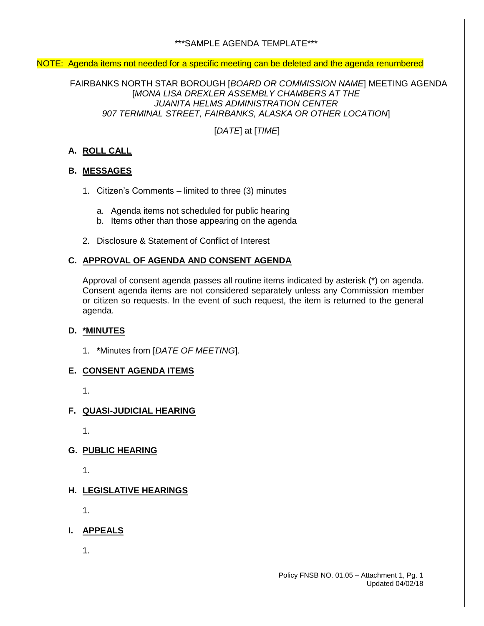## \*\*\*SAMPLE AGENDA TEMPLATE\*\*\*

#### NOTE: Agenda items not needed for a specific meeting can be deleted and the agenda renumbered

FAIRBANKS NORTH STAR BOROUGH [*BOARD OR COMMISSION NAME*] MEETING AGENDA [*MONA LISA DREXLER ASSEMBLY CHAMBERS AT THE JUANITA HELMS ADMINISTRATION CENTER 907 TERMINAL STREET, FAIRBANKS, ALASKA OR OTHER LOCATION*]

[*DATE*] at [*TIME*]

# **A. ROLL CALL**

## **B. MESSAGES**

- 1. Citizen's Comments limited to three (3) minutes
	- a. Agenda items not scheduled for public hearing
	- b. Items other than those appearing on the agenda
- 2. Disclosure & Statement of Conflict of Interest

## **C. APPROVAL OF AGENDA AND CONSENT AGENDA**

Approval of consent agenda passes all routine items indicated by asterisk (\*) on agenda. Consent agenda items are not considered separately unless any Commission member or citizen so requests. In the event of such request, the item is returned to the general agenda.

#### **D. \*MINUTES**

1. **\***Minutes from [*DATE OF MEETING*].

#### **E. CONSENT AGENDA ITEMS**

1.

#### **F. QUASI-JUDICIAL HEARING**

1.

**G. PUBLIC HEARING** 

1.

## **H. LEGISLATIVE HEARINGS**

1.

**I. APPEALS**

1.